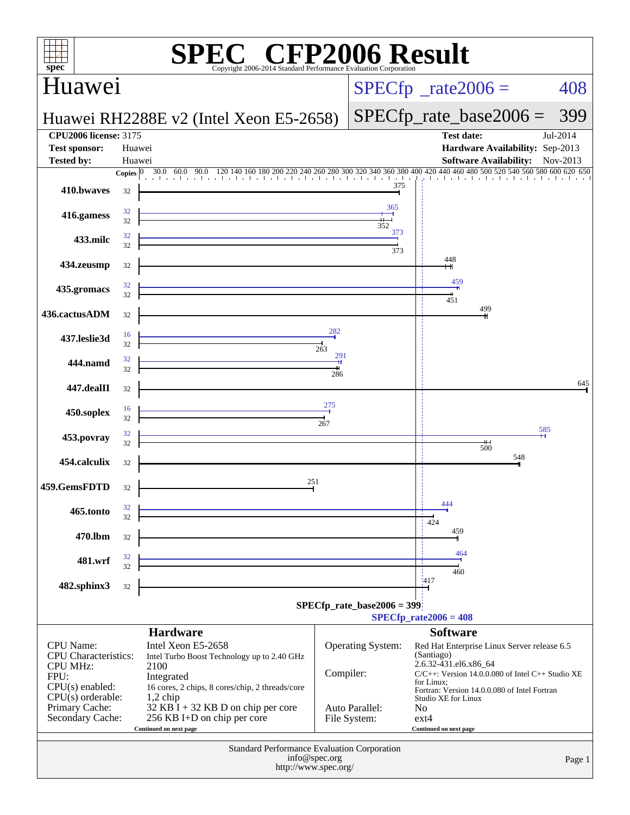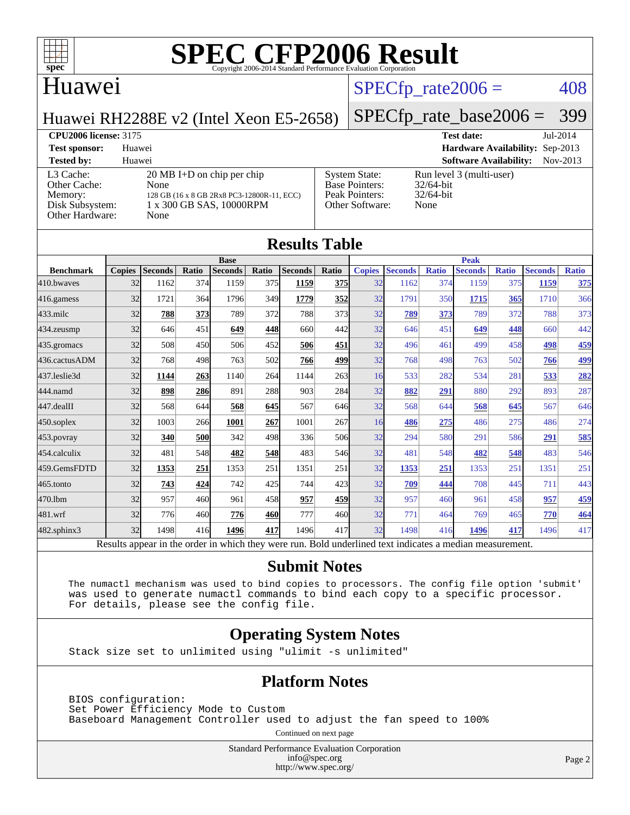

## Huawei

## $SPECTp\_rate2006 = 408$

Huawei RH2288E v2 (Intel Xeon E5-2658)

## [SPECfp\\_rate\\_base2006 =](http://www.spec.org/auto/cpu2006/Docs/result-fields.html#SPECfpratebase2006) 399

**[CPU2006 license:](http://www.spec.org/auto/cpu2006/Docs/result-fields.html#CPU2006license)** 3175 **[Test date:](http://www.spec.org/auto/cpu2006/Docs/result-fields.html#Testdate)** Jul-2014 **[Test sponsor:](http://www.spec.org/auto/cpu2006/Docs/result-fields.html#Testsponsor)** Huawei **[Hardware Availability:](http://www.spec.org/auto/cpu2006/Docs/result-fields.html#HardwareAvailability)** Sep-2013 **[Tested by:](http://www.spec.org/auto/cpu2006/Docs/result-fields.html#Testedby)** Huawei **[Software Availability:](http://www.spec.org/auto/cpu2006/Docs/result-fields.html#SoftwareAvailability)** Nov-2013 [L3 Cache:](http://www.spec.org/auto/cpu2006/Docs/result-fields.html#L3Cache) 20 MB I+D on chip per chip<br>Other Cache: None [Other Cache:](http://www.spec.org/auto/cpu2006/Docs/result-fields.html#OtherCache) [Memory:](http://www.spec.org/auto/cpu2006/Docs/result-fields.html#Memory) 128 GB (16 x 8 GB 2Rx8 PC3-12800R-11, ECC) [Disk Subsystem:](http://www.spec.org/auto/cpu2006/Docs/result-fields.html#DiskSubsystem) 1 x 300 GB SAS, 10000RPM [Other Hardware:](http://www.spec.org/auto/cpu2006/Docs/result-fields.html#OtherHardware) None [System State:](http://www.spec.org/auto/cpu2006/Docs/result-fields.html#SystemState) Run level 3 (multi-user)<br>Base Pointers: 32/64-bit [Base Pointers:](http://www.spec.org/auto/cpu2006/Docs/result-fields.html#BasePointers) [Peak Pointers:](http://www.spec.org/auto/cpu2006/Docs/result-fields.html#PeakPointers) 32/64-bit [Other Software:](http://www.spec.org/auto/cpu2006/Docs/result-fields.html#OtherSoftware) None

| <b>Results Table</b> |               |                                                                                                          |       |                |       |                |       |               |                |              |                |              |                |              |
|----------------------|---------------|----------------------------------------------------------------------------------------------------------|-------|----------------|-------|----------------|-------|---------------|----------------|--------------|----------------|--------------|----------------|--------------|
|                      | <b>Base</b>   |                                                                                                          |       |                |       | <b>Peak</b>    |       |               |                |              |                |              |                |              |
| <b>Benchmark</b>     | <b>Copies</b> | <b>Seconds</b>                                                                                           | Ratio | <b>Seconds</b> | Ratio | <b>Seconds</b> | Ratio | <b>Copies</b> | <b>Seconds</b> | <b>Ratio</b> | <b>Seconds</b> | <b>Ratio</b> | <b>Seconds</b> | <b>Ratio</b> |
| 410.bwayes           | 32            | 1162                                                                                                     | 374   | 1159           | 375   | 1159           | 375   | 32            | 1162           | 374          | 1159           | 375          | 1159           | <u>375</u>   |
| 416.gamess           | 32            | 1721                                                                                                     | 364   | 1796           | 349   | 1779           | 352   | 32            | 1791           | 350          | 1715           | 365          | 1710           | 366          |
| $433$ .milc          | 32            | 788                                                                                                      | 373   | 789            | 372   | 788            | 373   | 32            | 789            | 373          | 789            | 372          | 788            | 373          |
| 434.zeusmp           | 32            | 646                                                                                                      | 451   | 649            | 448   | 660            | 442   | 32            | 646            | 451          | 649            | 448          | 660            | 442          |
| 435.gromacs          | 32            | 508                                                                                                      | 450   | 506            | 452   | 506            | 451   | 32            | 496            | 461          | 499            | 458          | 498            | 459          |
| 436.cactusADM        | 32            | 768                                                                                                      | 498   | 763            | 502   | 766            | 499   | 32            | 768            | 498          | 763            | 502          | 766            | <u>499</u>   |
| 437.leslie3d         | 32            | 1144                                                                                                     | 263   | 1140           | 264   | 1144           | 263   | 16            | 533            | 282          | 534            | 281          | 533            | <u>282</u>   |
| 444.namd             | 32            | 898                                                                                                      | 286   | 891            | 288   | 903            | 284   | 32            | 882            | 291          | 880            | 292          | 893            | 287          |
| 447.dealII           | 32            | 568                                                                                                      | 644   | 568            | 645   | 567            | 646   | 32            | 568            | 644          | 568            | 645          | 567            | 646          |
| $450$ .soplex        | 32            | 1003                                                                                                     | 266   | 1001           | 267   | 1001           | 267   | 16            | 486            | 275          | 486            | 275          | 486            | 274          |
| 453.povray           | 32            | 340                                                                                                      | 500   | 342            | 498   | 336            | 506   | 32            | 294            | 580          | 291            | 586          | 291            | 585          |
| 454.calculix         | 32            | 481                                                                                                      | 548   | 482            | 548   | 483            | 546   | 32            | 481            | 548          | 482            | 548          | 483            | 546          |
| 459.GemsFDTD         | 32            | 1353                                                                                                     | 251   | 1353           | 251   | 1351           | 251   | 32            | 1353           | 251          | 1353           | 251          | 1351           | 251          |
| 465.tonto            | 32            | 743                                                                                                      | 424   | 742            | 425   | 744            | 423   | 32            | 709            | 444          | 708            | 445          | 711            | 443          |
| 470.1bm              | 32            | 957                                                                                                      | 460   | 961            | 458   | 957            | 459   | 32            | 957            | 460          | 961            | 458          | 957            | 459          |
| 481.wrf              | 32            | 776                                                                                                      | 460   | 776            | 460   | 777            | 460   | 32            | 771            | 464          | 769            | 465          | 770            | 464          |
| 482.sphinx3          | 32            | 1498                                                                                                     | 416   | 1496           | 417   | 1496           | 417   | 32            | 1498           | 416          | 1496           | 417          | 1496           | 417          |
|                      |               | Results appear in the order in which they were run. Bold underlined text indicates a median measurement. |       |                |       |                |       |               |                |              |                |              |                |              |

#### **[Submit Notes](http://www.spec.org/auto/cpu2006/Docs/result-fields.html#SubmitNotes)**

 The numactl mechanism was used to bind copies to processors. The config file option 'submit' was used to generate numactl commands to bind each copy to a specific processor. For details, please see the config file.

### **[Operating System Notes](http://www.spec.org/auto/cpu2006/Docs/result-fields.html#OperatingSystemNotes)**

Stack size set to unlimited using "ulimit -s unlimited"

### **[Platform Notes](http://www.spec.org/auto/cpu2006/Docs/result-fields.html#PlatformNotes)**

 BIOS configuration: Set Power Efficiency Mode to Custom Baseboard Management Controller used to adjust the fan speed to 100%

Continued on next page

Standard Performance Evaluation Corporation [info@spec.org](mailto:info@spec.org) <http://www.spec.org/>

Page 2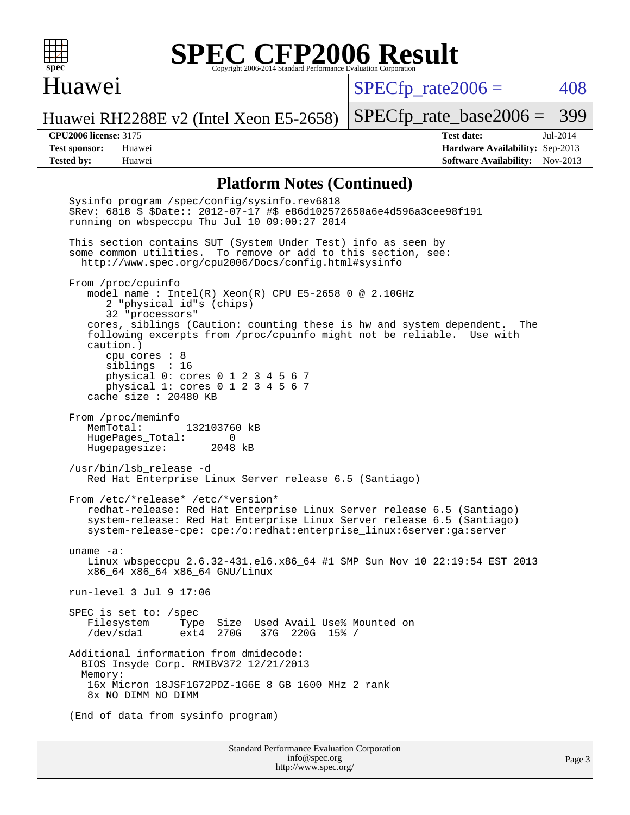

## Huawei

 $SPECTp\_rate2006 = 408$ 

Huawei RH2288E v2 (Intel Xeon E5-2658)

[SPECfp\\_rate\\_base2006 =](http://www.spec.org/auto/cpu2006/Docs/result-fields.html#SPECfpratebase2006) 399

**[CPU2006 license:](http://www.spec.org/auto/cpu2006/Docs/result-fields.html#CPU2006license)** 3175 **[Test date:](http://www.spec.org/auto/cpu2006/Docs/result-fields.html#Testdate)** Jul-2014 **[Test sponsor:](http://www.spec.org/auto/cpu2006/Docs/result-fields.html#Testsponsor)** Huawei **[Hardware Availability:](http://www.spec.org/auto/cpu2006/Docs/result-fields.html#HardwareAvailability)** Sep-2013 **[Tested by:](http://www.spec.org/auto/cpu2006/Docs/result-fields.html#Testedby)** Huawei **[Software Availability:](http://www.spec.org/auto/cpu2006/Docs/result-fields.html#SoftwareAvailability)** Nov-2013

### **[Platform Notes \(Continued\)](http://www.spec.org/auto/cpu2006/Docs/result-fields.html#PlatformNotes)**

Standard Performance Evaluation Corporation [info@spec.org](mailto:info@spec.org) Sysinfo program /spec/config/sysinfo.rev6818 \$Rev: 6818 \$ \$Date:: 2012-07-17 #\$ e86d102572650a6e4d596a3cee98f191 running on wbspeccpu Thu Jul 10 09:00:27 2014 This section contains SUT (System Under Test) info as seen by some common utilities. To remove or add to this section, see: <http://www.spec.org/cpu2006/Docs/config.html#sysinfo> From /proc/cpuinfo model name : Intel(R) Xeon(R) CPU E5-2658 0 @ 2.10GHz 2 "physical id"s (chips) 32 "processors" cores, siblings (Caution: counting these is hw and system dependent. The following excerpts from /proc/cpuinfo might not be reliable. Use with caution.) cpu cores : 8 siblings : 16 physical 0: cores 0 1 2 3 4 5 6 7 physical 1: cores 0 1 2 3 4 5 6 7 cache size : 20480 KB From /proc/meminfo MemTotal: 132103760 kB HugePages\_Total: 0<br>Hugepagesize: 2048 kB Hugepagesize: /usr/bin/lsb\_release -d Red Hat Enterprise Linux Server release 6.5 (Santiago) From /etc/\*release\* /etc/\*version\* redhat-release: Red Hat Enterprise Linux Server release 6.5 (Santiago) system-release: Red Hat Enterprise Linux Server release 6.5 (Santiago) system-release-cpe: cpe:/o:redhat:enterprise\_linux:6server:ga:server uname -a: Linux wbspeccpu 2.6.32-431.el6.x86\_64 #1 SMP Sun Nov 10 22:19:54 EST 2013 x86\_64 x86\_64 x86\_64 GNU/Linux run-level 3 Jul 9 17:06 SPEC is set to: /spec Filesystem Type Size Used Avail Use% Mounted on ext4 270G 37G 220G 15% / Additional information from dmidecode: BIOS Insyde Corp. RMIBV372 12/21/2013 Memory: 16x Micron 18JSF1G72PDZ-1G6E 8 GB 1600 MHz 2 rank 8x NO DIMM NO DIMM (End of data from sysinfo program)

<http://www.spec.org/>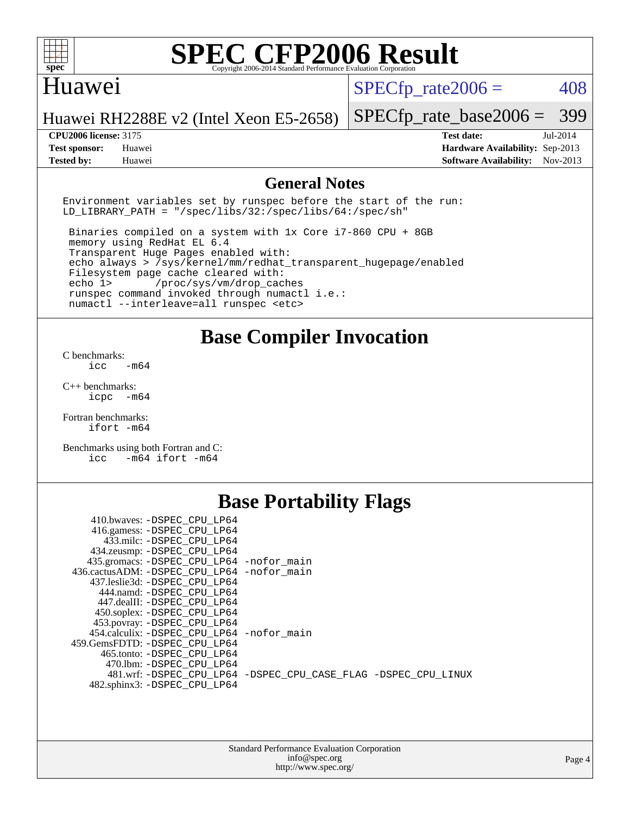

## Huawei

 $SPECTp\_rate2006 = 408$ 

Huawei RH2288E v2 (Intel Xeon E5-2658) [SPECfp\\_rate\\_base2006 =](http://www.spec.org/auto/cpu2006/Docs/result-fields.html#SPECfpratebase2006) 399

**[Tested by:](http://www.spec.org/auto/cpu2006/Docs/result-fields.html#Testedby)** Huawei **[Software Availability:](http://www.spec.org/auto/cpu2006/Docs/result-fields.html#SoftwareAvailability)** Nov-2013

**[CPU2006 license:](http://www.spec.org/auto/cpu2006/Docs/result-fields.html#CPU2006license)** 3175 **[Test date:](http://www.spec.org/auto/cpu2006/Docs/result-fields.html#Testdate)** Jul-2014 **[Test sponsor:](http://www.spec.org/auto/cpu2006/Docs/result-fields.html#Testsponsor)** Huawei **[Hardware Availability:](http://www.spec.org/auto/cpu2006/Docs/result-fields.html#HardwareAvailability)** Sep-2013

### **[General Notes](http://www.spec.org/auto/cpu2006/Docs/result-fields.html#GeneralNotes)**

Environment variables set by runspec before the start of the run: LD LIBRARY PATH = "/spec/libs/32:/spec/libs/64:/spec/sh"

 Binaries compiled on a system with 1x Core i7-860 CPU + 8GB memory using RedHat EL 6.4 Transparent Huge Pages enabled with: echo always > /sys/kernel/mm/redhat\_transparent\_hugepage/enabled Filesystem page cache cleared with: echo 1> /proc/sys/vm/drop\_caches runspec command invoked through numactl i.e.: numactl --interleave=all runspec <etc>

**[Base Compiler Invocation](http://www.spec.org/auto/cpu2006/Docs/result-fields.html#BaseCompilerInvocation)**

[C benchmarks](http://www.spec.org/auto/cpu2006/Docs/result-fields.html#Cbenchmarks):  $\text{icc}$   $-\text{m64}$ 

[C++ benchmarks:](http://www.spec.org/auto/cpu2006/Docs/result-fields.html#CXXbenchmarks) [icpc -m64](http://www.spec.org/cpu2006/results/res2014q3/cpu2006-20140714-30396.flags.html#user_CXXbase_intel_icpc_64bit_bedb90c1146cab66620883ef4f41a67e)

[Fortran benchmarks](http://www.spec.org/auto/cpu2006/Docs/result-fields.html#Fortranbenchmarks): [ifort -m64](http://www.spec.org/cpu2006/results/res2014q3/cpu2006-20140714-30396.flags.html#user_FCbase_intel_ifort_64bit_ee9d0fb25645d0210d97eb0527dcc06e)

[Benchmarks using both Fortran and C](http://www.spec.org/auto/cpu2006/Docs/result-fields.html#BenchmarksusingbothFortranandC): [icc -m64](http://www.spec.org/cpu2006/results/res2014q3/cpu2006-20140714-30396.flags.html#user_CC_FCbase_intel_icc_64bit_0b7121f5ab7cfabee23d88897260401c) [ifort -m64](http://www.spec.org/cpu2006/results/res2014q3/cpu2006-20140714-30396.flags.html#user_CC_FCbase_intel_ifort_64bit_ee9d0fb25645d0210d97eb0527dcc06e)

## **[Base Portability Flags](http://www.spec.org/auto/cpu2006/Docs/result-fields.html#BasePortabilityFlags)**

| 410.bwaves: -DSPEC CPU LP64                 |                                                                |
|---------------------------------------------|----------------------------------------------------------------|
| 416.gamess: -DSPEC_CPU_LP64                 |                                                                |
| 433.milc: -DSPEC CPU LP64                   |                                                                |
| 434.zeusmp: - DSPEC_CPU_LP64                |                                                                |
| 435.gromacs: -DSPEC_CPU_LP64 -nofor_main    |                                                                |
| 436.cactusADM: -DSPEC CPU LP64 -nofor main  |                                                                |
| 437.leslie3d: -DSPEC CPU LP64               |                                                                |
| 444.namd: -DSPEC CPU LP64                   |                                                                |
| 447.dealII: -DSPEC CPU LP64                 |                                                                |
| 450.soplex: - DSPEC CPU LP64                |                                                                |
| 453.povray: -DSPEC_CPU_LP64                 |                                                                |
| 454.calculix: - DSPEC CPU LP64 - nofor main |                                                                |
| 459. GemsFDTD: - DSPEC CPU LP64             |                                                                |
| 465.tonto: - DSPEC CPU LP64                 |                                                                |
| 470.1bm: - DSPEC CPU LP64                   |                                                                |
|                                             | 481.wrf: -DSPEC CPU_LP64 -DSPEC_CPU_CASE_FLAG -DSPEC_CPU_LINUX |
| 482.sphinx3: -DSPEC_CPU_LP64                |                                                                |
|                                             |                                                                |

| <b>Standard Performance Evaluation Corporation</b> |
|----------------------------------------------------|
| info@spec.org                                      |
| http://www.spec.org/                               |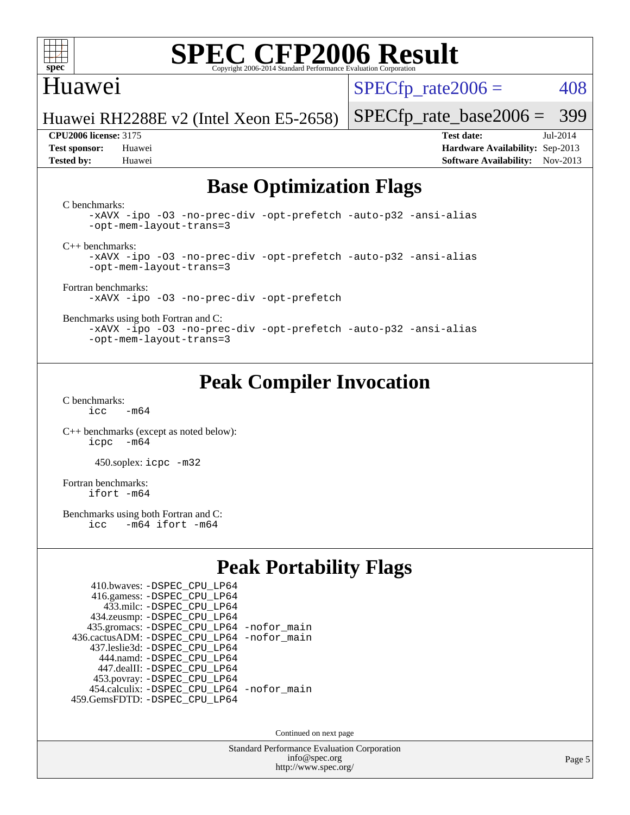

## Huawei

 $SPECTp\_rate2006 = 408$ 

Huawei RH2288E v2 (Intel Xeon E5-2658)

**[Test sponsor:](http://www.spec.org/auto/cpu2006/Docs/result-fields.html#Testsponsor)** Huawei **[Hardware Availability:](http://www.spec.org/auto/cpu2006/Docs/result-fields.html#HardwareAvailability)** Sep-2013 **[Tested by:](http://www.spec.org/auto/cpu2006/Docs/result-fields.html#Testedby)** Huawei **[Software Availability:](http://www.spec.org/auto/cpu2006/Docs/result-fields.html#SoftwareAvailability)** Nov-2013

[SPECfp\\_rate\\_base2006 =](http://www.spec.org/auto/cpu2006/Docs/result-fields.html#SPECfpratebase2006) 399 **[CPU2006 license:](http://www.spec.org/auto/cpu2006/Docs/result-fields.html#CPU2006license)** 3175 **[Test date:](http://www.spec.org/auto/cpu2006/Docs/result-fields.html#Testdate)** Jul-2014

## **[Base Optimization Flags](http://www.spec.org/auto/cpu2006/Docs/result-fields.html#BaseOptimizationFlags)**

[C benchmarks](http://www.spec.org/auto/cpu2006/Docs/result-fields.html#Cbenchmarks):

[-xAVX](http://www.spec.org/cpu2006/results/res2014q3/cpu2006-20140714-30396.flags.html#user_CCbase_f-xAVX) [-ipo](http://www.spec.org/cpu2006/results/res2014q3/cpu2006-20140714-30396.flags.html#user_CCbase_f-ipo) [-O3](http://www.spec.org/cpu2006/results/res2014q3/cpu2006-20140714-30396.flags.html#user_CCbase_f-O3) [-no-prec-div](http://www.spec.org/cpu2006/results/res2014q3/cpu2006-20140714-30396.flags.html#user_CCbase_f-no-prec-div) [-opt-prefetch](http://www.spec.org/cpu2006/results/res2014q3/cpu2006-20140714-30396.flags.html#user_CCbase_f-opt-prefetch) [-auto-p32](http://www.spec.org/cpu2006/results/res2014q3/cpu2006-20140714-30396.flags.html#user_CCbase_f-auto-p32) [-ansi-alias](http://www.spec.org/cpu2006/results/res2014q3/cpu2006-20140714-30396.flags.html#user_CCbase_f-ansi-alias) [-opt-mem-layout-trans=3](http://www.spec.org/cpu2006/results/res2014q3/cpu2006-20140714-30396.flags.html#user_CCbase_f-opt-mem-layout-trans_a7b82ad4bd7abf52556d4961a2ae94d5)

[C++ benchmarks:](http://www.spec.org/auto/cpu2006/Docs/result-fields.html#CXXbenchmarks)

[-xAVX](http://www.spec.org/cpu2006/results/res2014q3/cpu2006-20140714-30396.flags.html#user_CXXbase_f-xAVX) [-ipo](http://www.spec.org/cpu2006/results/res2014q3/cpu2006-20140714-30396.flags.html#user_CXXbase_f-ipo) [-O3](http://www.spec.org/cpu2006/results/res2014q3/cpu2006-20140714-30396.flags.html#user_CXXbase_f-O3) [-no-prec-div](http://www.spec.org/cpu2006/results/res2014q3/cpu2006-20140714-30396.flags.html#user_CXXbase_f-no-prec-div) [-opt-prefetch](http://www.spec.org/cpu2006/results/res2014q3/cpu2006-20140714-30396.flags.html#user_CXXbase_f-opt-prefetch) [-auto-p32](http://www.spec.org/cpu2006/results/res2014q3/cpu2006-20140714-30396.flags.html#user_CXXbase_f-auto-p32) [-ansi-alias](http://www.spec.org/cpu2006/results/res2014q3/cpu2006-20140714-30396.flags.html#user_CXXbase_f-ansi-alias) [-opt-mem-layout-trans=3](http://www.spec.org/cpu2006/results/res2014q3/cpu2006-20140714-30396.flags.html#user_CXXbase_f-opt-mem-layout-trans_a7b82ad4bd7abf52556d4961a2ae94d5)

[Fortran benchmarks](http://www.spec.org/auto/cpu2006/Docs/result-fields.html#Fortranbenchmarks): [-xAVX](http://www.spec.org/cpu2006/results/res2014q3/cpu2006-20140714-30396.flags.html#user_FCbase_f-xAVX) [-ipo](http://www.spec.org/cpu2006/results/res2014q3/cpu2006-20140714-30396.flags.html#user_FCbase_f-ipo) [-O3](http://www.spec.org/cpu2006/results/res2014q3/cpu2006-20140714-30396.flags.html#user_FCbase_f-O3) [-no-prec-div](http://www.spec.org/cpu2006/results/res2014q3/cpu2006-20140714-30396.flags.html#user_FCbase_f-no-prec-div) [-opt-prefetch](http://www.spec.org/cpu2006/results/res2014q3/cpu2006-20140714-30396.flags.html#user_FCbase_f-opt-prefetch)

[Benchmarks using both Fortran and C](http://www.spec.org/auto/cpu2006/Docs/result-fields.html#BenchmarksusingbothFortranandC):

[-xAVX](http://www.spec.org/cpu2006/results/res2014q3/cpu2006-20140714-30396.flags.html#user_CC_FCbase_f-xAVX) [-ipo](http://www.spec.org/cpu2006/results/res2014q3/cpu2006-20140714-30396.flags.html#user_CC_FCbase_f-ipo) [-O3](http://www.spec.org/cpu2006/results/res2014q3/cpu2006-20140714-30396.flags.html#user_CC_FCbase_f-O3) [-no-prec-div](http://www.spec.org/cpu2006/results/res2014q3/cpu2006-20140714-30396.flags.html#user_CC_FCbase_f-no-prec-div) [-opt-prefetch](http://www.spec.org/cpu2006/results/res2014q3/cpu2006-20140714-30396.flags.html#user_CC_FCbase_f-opt-prefetch) [-auto-p32](http://www.spec.org/cpu2006/results/res2014q3/cpu2006-20140714-30396.flags.html#user_CC_FCbase_f-auto-p32) [-ansi-alias](http://www.spec.org/cpu2006/results/res2014q3/cpu2006-20140714-30396.flags.html#user_CC_FCbase_f-ansi-alias) [-opt-mem-layout-trans=3](http://www.spec.org/cpu2006/results/res2014q3/cpu2006-20140714-30396.flags.html#user_CC_FCbase_f-opt-mem-layout-trans_a7b82ad4bd7abf52556d4961a2ae94d5)

## **[Peak Compiler Invocation](http://www.spec.org/auto/cpu2006/Docs/result-fields.html#PeakCompilerInvocation)**

[C benchmarks](http://www.spec.org/auto/cpu2006/Docs/result-fields.html#Cbenchmarks):  $icc$   $-m64$ 

[C++ benchmarks \(except as noted below\):](http://www.spec.org/auto/cpu2006/Docs/result-fields.html#CXXbenchmarksexceptasnotedbelow) [icpc -m64](http://www.spec.org/cpu2006/results/res2014q3/cpu2006-20140714-30396.flags.html#user_CXXpeak_intel_icpc_64bit_bedb90c1146cab66620883ef4f41a67e)

450.soplex: [icpc -m32](http://www.spec.org/cpu2006/results/res2014q3/cpu2006-20140714-30396.flags.html#user_peakCXXLD450_soplex_intel_icpc_4e5a5ef1a53fd332b3c49e69c3330699)

[Fortran benchmarks](http://www.spec.org/auto/cpu2006/Docs/result-fields.html#Fortranbenchmarks): [ifort -m64](http://www.spec.org/cpu2006/results/res2014q3/cpu2006-20140714-30396.flags.html#user_FCpeak_intel_ifort_64bit_ee9d0fb25645d0210d97eb0527dcc06e)

[Benchmarks using both Fortran and C](http://www.spec.org/auto/cpu2006/Docs/result-fields.html#BenchmarksusingbothFortranandC):<br>icc -m64 ifort -m64  $-m64$  ifort  $-m64$ 

## **[Peak Portability Flags](http://www.spec.org/auto/cpu2006/Docs/result-fields.html#PeakPortabilityFlags)**

| 410.bwaves: - DSPEC_CPU_LP64                 |  |
|----------------------------------------------|--|
| 416.gamess: -DSPEC_CPU_LP64                  |  |
| 433.milc: - DSPEC_CPU LP64                   |  |
| 434.zeusmp: -DSPEC_CPU_LP64                  |  |
| 435.gromacs: -DSPEC_CPU_LP64 -nofor_main     |  |
| 436.cactusADM: - DSPEC CPU LP64 - nofor main |  |
| 437.leslie3d: -DSPEC CPU LP64                |  |
| 444.namd: - DSPEC CPU LP64                   |  |
| 447.dealII: -DSPEC CPU LP64                  |  |
| 453.povray: -DSPEC_CPU_LP64                  |  |
| 454.calculix: - DSPEC CPU LP64 - nofor main  |  |
| 459.GemsFDTD: - DSPEC_CPU_LP64               |  |

Continued on next page

Standard Performance Evaluation Corporation [info@spec.org](mailto:info@spec.org) <http://www.spec.org/>

Page 5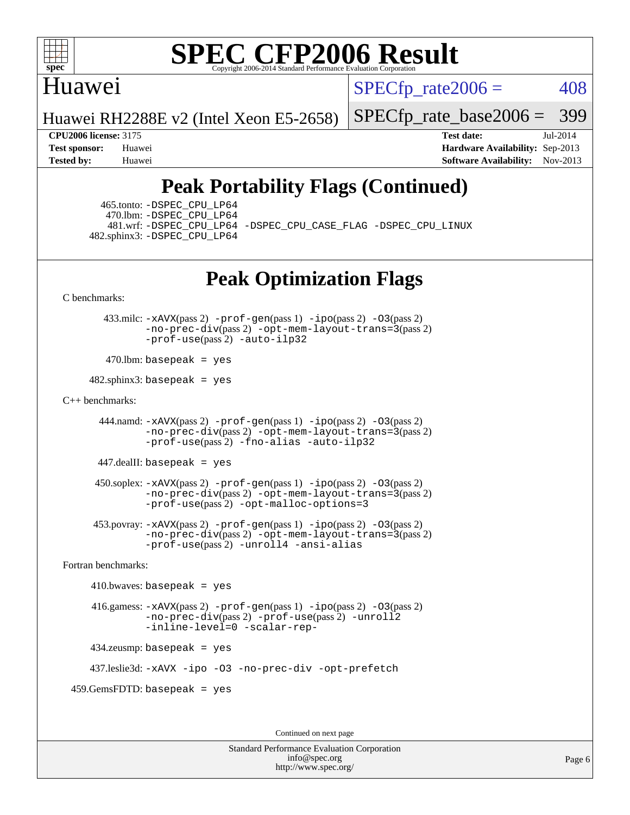

## Huawei

 $SPECTp\_rate2006 = 408$ 

Huawei RH2288E v2 (Intel Xeon E5-2658)

[SPECfp\\_rate\\_base2006 =](http://www.spec.org/auto/cpu2006/Docs/result-fields.html#SPECfpratebase2006) 399

**[CPU2006 license:](http://www.spec.org/auto/cpu2006/Docs/result-fields.html#CPU2006license)** 3175 **[Test date:](http://www.spec.org/auto/cpu2006/Docs/result-fields.html#Testdate)** Jul-2014 **[Test sponsor:](http://www.spec.org/auto/cpu2006/Docs/result-fields.html#Testsponsor)** Huawei **[Hardware Availability:](http://www.spec.org/auto/cpu2006/Docs/result-fields.html#HardwareAvailability)** Sep-2013 **[Tested by:](http://www.spec.org/auto/cpu2006/Docs/result-fields.html#Testedby)** Huawei **[Software Availability:](http://www.spec.org/auto/cpu2006/Docs/result-fields.html#SoftwareAvailability)** Nov-2013

## **[Peak Portability Flags \(Continued\)](http://www.spec.org/auto/cpu2006/Docs/result-fields.html#PeakPortabilityFlags)**

 465.tonto: [-DSPEC\\_CPU\\_LP64](http://www.spec.org/cpu2006/results/res2014q3/cpu2006-20140714-30396.flags.html#suite_peakPORTABILITY465_tonto_DSPEC_CPU_LP64) 470.lbm: [-DSPEC\\_CPU\\_LP64](http://www.spec.org/cpu2006/results/res2014q3/cpu2006-20140714-30396.flags.html#suite_peakPORTABILITY470_lbm_DSPEC_CPU_LP64) 482.sphinx3: [-DSPEC\\_CPU\\_LP64](http://www.spec.org/cpu2006/results/res2014q3/cpu2006-20140714-30396.flags.html#suite_peakPORTABILITY482_sphinx3_DSPEC_CPU_LP64)

481.wrf: [-DSPEC\\_CPU\\_LP64](http://www.spec.org/cpu2006/results/res2014q3/cpu2006-20140714-30396.flags.html#suite_peakPORTABILITY481_wrf_DSPEC_CPU_LP64) [-DSPEC\\_CPU\\_CASE\\_FLAG](http://www.spec.org/cpu2006/results/res2014q3/cpu2006-20140714-30396.flags.html#b481.wrf_peakCPORTABILITY_DSPEC_CPU_CASE_FLAG) [-DSPEC\\_CPU\\_LINUX](http://www.spec.org/cpu2006/results/res2014q3/cpu2006-20140714-30396.flags.html#b481.wrf_peakCPORTABILITY_DSPEC_CPU_LINUX)

## **[Peak Optimization Flags](http://www.spec.org/auto/cpu2006/Docs/result-fields.html#PeakOptimizationFlags)**

[C benchmarks](http://www.spec.org/auto/cpu2006/Docs/result-fields.html#Cbenchmarks):

 433.milc: [-xAVX](http://www.spec.org/cpu2006/results/res2014q3/cpu2006-20140714-30396.flags.html#user_peakPASS2_CFLAGSPASS2_LDFLAGS433_milc_f-xAVX)(pass 2) [-prof-gen](http://www.spec.org/cpu2006/results/res2014q3/cpu2006-20140714-30396.flags.html#user_peakPASS1_CFLAGSPASS1_LDFLAGS433_milc_prof_gen_e43856698f6ca7b7e442dfd80e94a8fc)(pass 1) [-ipo](http://www.spec.org/cpu2006/results/res2014q3/cpu2006-20140714-30396.flags.html#user_peakPASS2_CFLAGSPASS2_LDFLAGS433_milc_f-ipo)(pass 2) [-O3](http://www.spec.org/cpu2006/results/res2014q3/cpu2006-20140714-30396.flags.html#user_peakPASS2_CFLAGSPASS2_LDFLAGS433_milc_f-O3)(pass 2) [-no-prec-div](http://www.spec.org/cpu2006/results/res2014q3/cpu2006-20140714-30396.flags.html#user_peakPASS2_CFLAGSPASS2_LDFLAGS433_milc_f-no-prec-div)(pass 2) [-opt-mem-layout-trans=3](http://www.spec.org/cpu2006/results/res2014q3/cpu2006-20140714-30396.flags.html#user_peakPASS2_CFLAGS433_milc_f-opt-mem-layout-trans_a7b82ad4bd7abf52556d4961a2ae94d5)(pass 2) [-prof-use](http://www.spec.org/cpu2006/results/res2014q3/cpu2006-20140714-30396.flags.html#user_peakPASS2_CFLAGSPASS2_LDFLAGS433_milc_prof_use_bccf7792157ff70d64e32fe3e1250b55)(pass 2) [-auto-ilp32](http://www.spec.org/cpu2006/results/res2014q3/cpu2006-20140714-30396.flags.html#user_peakCOPTIMIZE433_milc_f-auto-ilp32)

 $470$ .lbm: basepeak = yes

 $482$ .sphinx3: basepeak = yes

#### [C++ benchmarks:](http://www.spec.org/auto/cpu2006/Docs/result-fields.html#CXXbenchmarks)

 444.namd: [-xAVX](http://www.spec.org/cpu2006/results/res2014q3/cpu2006-20140714-30396.flags.html#user_peakPASS2_CXXFLAGSPASS2_LDFLAGS444_namd_f-xAVX)(pass 2) [-prof-gen](http://www.spec.org/cpu2006/results/res2014q3/cpu2006-20140714-30396.flags.html#user_peakPASS1_CXXFLAGSPASS1_LDFLAGS444_namd_prof_gen_e43856698f6ca7b7e442dfd80e94a8fc)(pass 1) [-ipo](http://www.spec.org/cpu2006/results/res2014q3/cpu2006-20140714-30396.flags.html#user_peakPASS2_CXXFLAGSPASS2_LDFLAGS444_namd_f-ipo)(pass 2) [-O3](http://www.spec.org/cpu2006/results/res2014q3/cpu2006-20140714-30396.flags.html#user_peakPASS2_CXXFLAGSPASS2_LDFLAGS444_namd_f-O3)(pass 2) [-no-prec-div](http://www.spec.org/cpu2006/results/res2014q3/cpu2006-20140714-30396.flags.html#user_peakPASS2_CXXFLAGSPASS2_LDFLAGS444_namd_f-no-prec-div)(pass 2) [-opt-mem-layout-trans=3](http://www.spec.org/cpu2006/results/res2014q3/cpu2006-20140714-30396.flags.html#user_peakPASS2_CXXFLAGS444_namd_f-opt-mem-layout-trans_a7b82ad4bd7abf52556d4961a2ae94d5)(pass 2) [-prof-use](http://www.spec.org/cpu2006/results/res2014q3/cpu2006-20140714-30396.flags.html#user_peakPASS2_CXXFLAGSPASS2_LDFLAGS444_namd_prof_use_bccf7792157ff70d64e32fe3e1250b55)(pass 2) [-fno-alias](http://www.spec.org/cpu2006/results/res2014q3/cpu2006-20140714-30396.flags.html#user_peakCXXOPTIMIZE444_namd_f-no-alias_694e77f6c5a51e658e82ccff53a9e63a) [-auto-ilp32](http://www.spec.org/cpu2006/results/res2014q3/cpu2006-20140714-30396.flags.html#user_peakCXXOPTIMIZE444_namd_f-auto-ilp32)

447.dealII: basepeak = yes

 $450$ .soplex:  $-x$ AVX(pass 2)  $-p$ rof-gen(pass 1)  $-i$ po(pass 2)  $-03$ (pass 2) [-no-prec-div](http://www.spec.org/cpu2006/results/res2014q3/cpu2006-20140714-30396.flags.html#user_peakPASS2_CXXFLAGSPASS2_LDFLAGS450_soplex_f-no-prec-div)(pass 2) [-opt-mem-layout-trans=3](http://www.spec.org/cpu2006/results/res2014q3/cpu2006-20140714-30396.flags.html#user_peakPASS2_CXXFLAGS450_soplex_f-opt-mem-layout-trans_a7b82ad4bd7abf52556d4961a2ae94d5)(pass 2) [-prof-use](http://www.spec.org/cpu2006/results/res2014q3/cpu2006-20140714-30396.flags.html#user_peakPASS2_CXXFLAGSPASS2_LDFLAGS450_soplex_prof_use_bccf7792157ff70d64e32fe3e1250b55)(pass 2) [-opt-malloc-options=3](http://www.spec.org/cpu2006/results/res2014q3/cpu2006-20140714-30396.flags.html#user_peakOPTIMIZE450_soplex_f-opt-malloc-options_13ab9b803cf986b4ee62f0a5998c2238)

 453.povray: [-xAVX](http://www.spec.org/cpu2006/results/res2014q3/cpu2006-20140714-30396.flags.html#user_peakPASS2_CXXFLAGSPASS2_LDFLAGS453_povray_f-xAVX)(pass 2) [-prof-gen](http://www.spec.org/cpu2006/results/res2014q3/cpu2006-20140714-30396.flags.html#user_peakPASS1_CXXFLAGSPASS1_LDFLAGS453_povray_prof_gen_e43856698f6ca7b7e442dfd80e94a8fc)(pass 1) [-ipo](http://www.spec.org/cpu2006/results/res2014q3/cpu2006-20140714-30396.flags.html#user_peakPASS2_CXXFLAGSPASS2_LDFLAGS453_povray_f-ipo)(pass 2) [-O3](http://www.spec.org/cpu2006/results/res2014q3/cpu2006-20140714-30396.flags.html#user_peakPASS2_CXXFLAGSPASS2_LDFLAGS453_povray_f-O3)(pass 2) [-no-prec-div](http://www.spec.org/cpu2006/results/res2014q3/cpu2006-20140714-30396.flags.html#user_peakPASS2_CXXFLAGSPASS2_LDFLAGS453_povray_f-no-prec-div)(pass 2) [-opt-mem-layout-trans=3](http://www.spec.org/cpu2006/results/res2014q3/cpu2006-20140714-30396.flags.html#user_peakPASS2_CXXFLAGS453_povray_f-opt-mem-layout-trans_a7b82ad4bd7abf52556d4961a2ae94d5)(pass 2) [-prof-use](http://www.spec.org/cpu2006/results/res2014q3/cpu2006-20140714-30396.flags.html#user_peakPASS2_CXXFLAGSPASS2_LDFLAGS453_povray_prof_use_bccf7792157ff70d64e32fe3e1250b55)(pass 2) [-unroll4](http://www.spec.org/cpu2006/results/res2014q3/cpu2006-20140714-30396.flags.html#user_peakCXXOPTIMIZE453_povray_f-unroll_4e5e4ed65b7fd20bdcd365bec371b81f) [-ansi-alias](http://www.spec.org/cpu2006/results/res2014q3/cpu2006-20140714-30396.flags.html#user_peakCXXOPTIMIZE453_povray_f-ansi-alias)

[Fortran benchmarks](http://www.spec.org/auto/cpu2006/Docs/result-fields.html#Fortranbenchmarks):

 $410.bwaves: basepeak = yes$  416.gamess: [-xAVX](http://www.spec.org/cpu2006/results/res2014q3/cpu2006-20140714-30396.flags.html#user_peakPASS2_FFLAGSPASS2_LDFLAGS416_gamess_f-xAVX)(pass 2) [-prof-gen](http://www.spec.org/cpu2006/results/res2014q3/cpu2006-20140714-30396.flags.html#user_peakPASS1_FFLAGSPASS1_LDFLAGS416_gamess_prof_gen_e43856698f6ca7b7e442dfd80e94a8fc)(pass 1) [-ipo](http://www.spec.org/cpu2006/results/res2014q3/cpu2006-20140714-30396.flags.html#user_peakPASS2_FFLAGSPASS2_LDFLAGS416_gamess_f-ipo)(pass 2) [-O3](http://www.spec.org/cpu2006/results/res2014q3/cpu2006-20140714-30396.flags.html#user_peakPASS2_FFLAGSPASS2_LDFLAGS416_gamess_f-O3)(pass 2) [-no-prec-div](http://www.spec.org/cpu2006/results/res2014q3/cpu2006-20140714-30396.flags.html#user_peakPASS2_FFLAGSPASS2_LDFLAGS416_gamess_f-no-prec-div)(pass 2) [-prof-use](http://www.spec.org/cpu2006/results/res2014q3/cpu2006-20140714-30396.flags.html#user_peakPASS2_FFLAGSPASS2_LDFLAGS416_gamess_prof_use_bccf7792157ff70d64e32fe3e1250b55)(pass 2) [-unroll2](http://www.spec.org/cpu2006/results/res2014q3/cpu2006-20140714-30396.flags.html#user_peakOPTIMIZE416_gamess_f-unroll_784dae83bebfb236979b41d2422d7ec2) [-inline-level=0](http://www.spec.org/cpu2006/results/res2014q3/cpu2006-20140714-30396.flags.html#user_peakOPTIMIZE416_gamess_f-inline-level_318d07a09274ad25e8d15dbfaa68ba50) [-scalar-rep-](http://www.spec.org/cpu2006/results/res2014q3/cpu2006-20140714-30396.flags.html#user_peakOPTIMIZE416_gamess_f-disablescalarrep_abbcad04450fb118e4809c81d83c8a1d) 434.zeusmp: basepeak = yes

437.leslie3d: [-xAVX](http://www.spec.org/cpu2006/results/res2014q3/cpu2006-20140714-30396.flags.html#user_peakOPTIMIZE437_leslie3d_f-xAVX) [-ipo](http://www.spec.org/cpu2006/results/res2014q3/cpu2006-20140714-30396.flags.html#user_peakOPTIMIZE437_leslie3d_f-ipo) [-O3](http://www.spec.org/cpu2006/results/res2014q3/cpu2006-20140714-30396.flags.html#user_peakOPTIMIZE437_leslie3d_f-O3) [-no-prec-div](http://www.spec.org/cpu2006/results/res2014q3/cpu2006-20140714-30396.flags.html#user_peakOPTIMIZE437_leslie3d_f-no-prec-div) [-opt-prefetch](http://www.spec.org/cpu2006/results/res2014q3/cpu2006-20140714-30396.flags.html#user_peakOPTIMIZE437_leslie3d_f-opt-prefetch)

459.GemsFDTD: basepeak = yes

Continued on next page

Standard Performance Evaluation Corporation [info@spec.org](mailto:info@spec.org) <http://www.spec.org/>